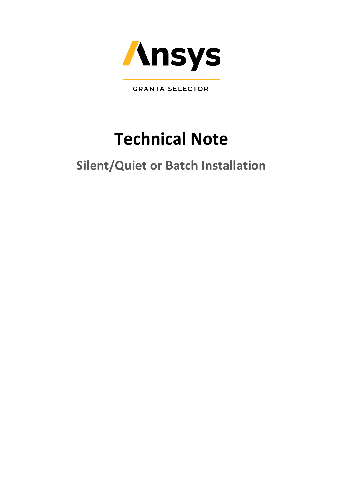

**GRANTA SELECTOR** 

# **Technical Note**

## **Silent/Quiet or Batch Installation**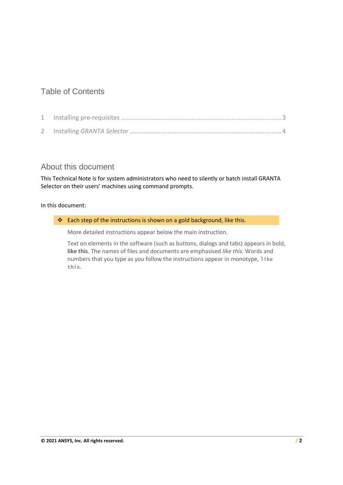## Table of Contents

### About this document

This Technical Note is for system administrators who need to silently or batch install GRANTA Selector on their users' machines using command prompts.

#### In this document:

#### ❖ Each step of the instructions is shown on a gold background, like this.

More detailed instructions appear below the main instruction.

Text on elements in the software (such as buttons, dialogs and tabs) appears in bold, **like this**. The names of files and documents are emphasised *like this*. Words and numbers that you type as you follow the instructions appear in monotype, like this.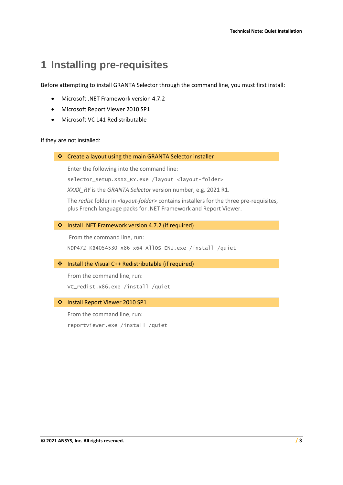## <span id="page-2-0"></span>**1 Installing pre-requisites**

Before attempting to install GRANTA Selector through the command line, you must first install:

- Microsoft .NET Framework version 4.7.2
- Microsoft Report Viewer 2010 SP1
- Microsoft VC 141 Redistributable

If they are not installed:

❖ Create a layout using the main GRANTA Selector installer

Enter the following into the command line:

selector\_setup.XXXX\_RY.exe /layout <layout-folder>

*XXXX\_RY* is the *GRANTA Selector* version number, e.g. 2021 R1.

The *redist* folder in *<layout-folder>* contains installers for the three pre-requisites, plus French language packs for .NET Framework and Report Viewer.

#### ❖ Install .NET Framework version 4.7.2 (if required)

From the command line, run: NDP472-KB4054530-x86-x64-AllOS-ENU.exe /install /quiet

#### ❖ Install the Visual C++ Redistributable (if required)

From the command line, run: VC\_redist.x86.exe /install /quiet

#### ❖ Install Report Viewer 2010 SP1

From the command line, run: reportviewer.exe /install /quiet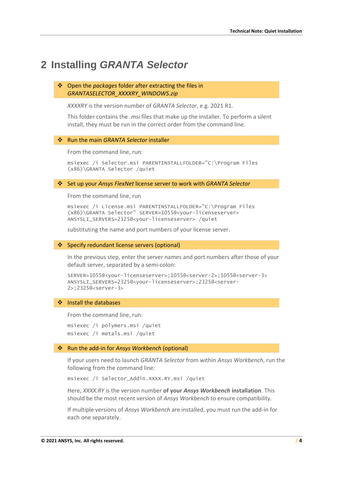## <span id="page-3-0"></span>**2 Installing** *GRANTA Selector*

#### ❖ Open the *packages* folder after extracting the files in *GRANTASELECTOR\_XXXXRY\_WINDOWS.zip*

*XXXXRY* is the version number of *GRANTA Selector*, e.g. 2021 R1.

This folder contains the *.msi* files that make up the installer. To perform a silent install, they must be run in the correct order from the command line.

#### ❖ Run the main *GRANTA Selector* installer

From the command line, run:

msiexec /i Selector.msi PARENTINSTALLFOLDER="C:\Program Files (x86)\GRANTA Selector /quiet

#### ❖ Set up your *Ansys FlexNet* license server to work with *GRANTA Selector*

From the command line, run

msiexec /i License.msi PARENTINSTALLFOLDER="C:\Program Files (x86)\GRANTA Selector" SERVER=1055@<your-licenseserver> ANSYSLI\_SERVERS=2325@<your-licenseserver> /quiet

substituting the name and port numbers of your license server.

#### ❖ Specify redundant license servers (optional)

In the previous step, enter the server names and port numbers after those of your default server, separated by a semi-colon:

```
SERVER=1055@<your-licenseserver>;1055@<server-2>;1055@<server-3>
ANSYSLI_SERVERS=2325@<your-licenseserver>;2325@<server-
2>;2325@<server-3>
```
#### ❖ Install the databases

From the command line, run:

msiexec /i polymers.msi /quiet msiexec /i metals.msi /quiet

#### ❖ Run the add-in for *Ansys Workbench* (optional)

If your users need to launch *GRANTA Selector* from within *Ansys Workbench*, run the following from the command line:

msiexec /i Selector\_Addin.XXXX.RY.msi /quiet

Here, *XXXX.RY* is the version number **of your** *Ansys Workbench* **installation**. This should be the most recent version of *Ansys Workbench* to ensure compatibility.

If multiple versions of *Ansys Workbench* are installed, you must run the add-in for each one separately.